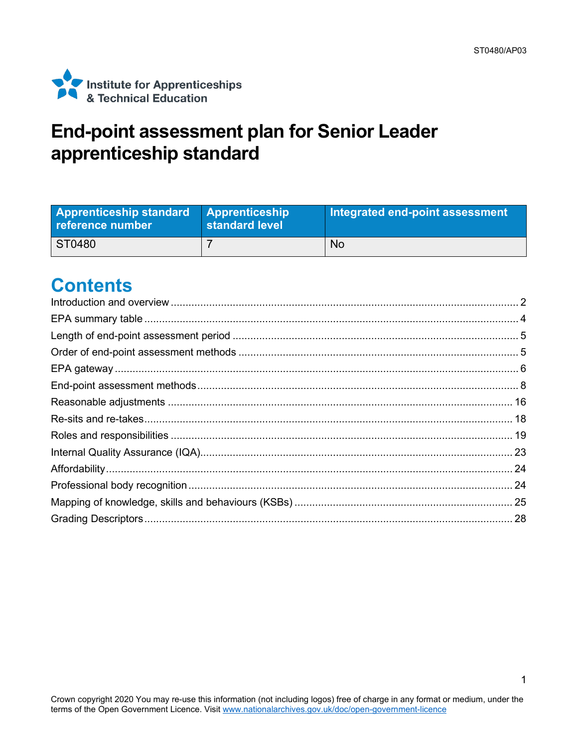

## **End-point assessment plan for Senior Leader apprenticeship standard**

| <b>Apprenticeship standard</b><br>reference number | <b>Apprenticeship</b><br>standard level | Integrated end-point assessment |
|----------------------------------------------------|-----------------------------------------|---------------------------------|
| ST0480                                             |                                         | <b>No</b>                       |

### **Contents**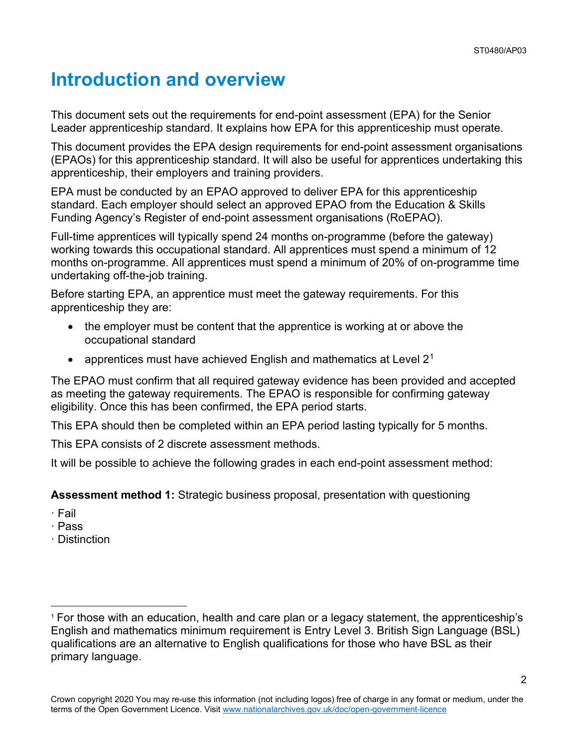## <span id="page-1-0"></span>**Introduction and overview**

This document sets out the requirements for end-point assessment (EPA) for the Senior Leader apprenticeship standard. It explains how EPA for this apprenticeship must operate.

This document provides the EPA design requirements for end-point assessment organisations (EPAOs) for this apprenticeship standard. It will also be useful for apprentices undertaking this apprenticeship, their employers and training providers.

EPA must be conducted by an EPAO approved to deliver EPA for this apprenticeship standard. Each employer should select an approved EPAO from the Education & Skills Funding Agency's Register of end-point assessment organisations (RoEPAO).

Full-time apprentices will typically spend 24 months on-programme (before the gateway) working towards this occupational standard. All apprentices must spend a minimum of 12 months on-programme. All apprentices must spend a minimum of 20% of on-programme time undertaking off-the-job training.

Before starting EPA, an apprentice must meet the gateway requirements. For this apprenticeship they are:

- the employer must be content that the apprentice is working at or above the occupational standard
- apprentices must have achieved English and mathematics at Level  $2<sup>1</sup>$  $2<sup>1</sup>$  $2<sup>1</sup>$

The EPAO must confirm that all required gateway evidence has been provided and accepted as meeting the gateway requirements. The EPAO is responsible for confirming gateway eligibility. Once this has been confirmed, the EPA period starts.

This EPA should then be completed within an EPA period lasting typically for 5 months.

This EPA consists of 2 discrete assessment methods.

It will be possible to achieve the following grades in each end-point assessment method:

**Assessment method 1:** Strategic business proposal, presentation with questioning

- · Fail
- · Pass
- · Distinction

<span id="page-1-1"></span><sup>1</sup> For those with an education, health and care plan or a legacy statement, the apprenticeship's English and mathematics minimum requirement is Entry Level 3. British Sign Language (BSL) qualifications are an alternative to English qualifications for those who have BSL as their primary language.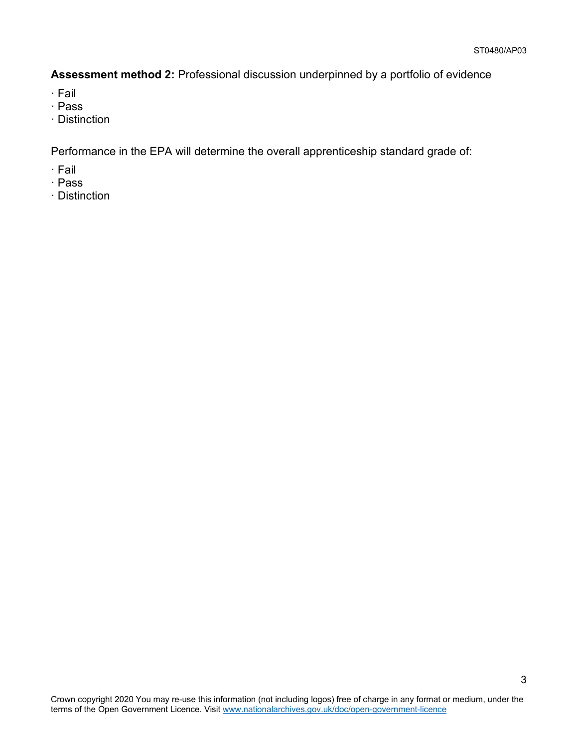**Assessment method 2:** Professional discussion underpinned by a portfolio of evidence

- · Fail
- · Pass
- · Distinction

Performance in the EPA will determine the overall apprenticeship standard grade of:

- · Fail
- · Pass
- · Distinction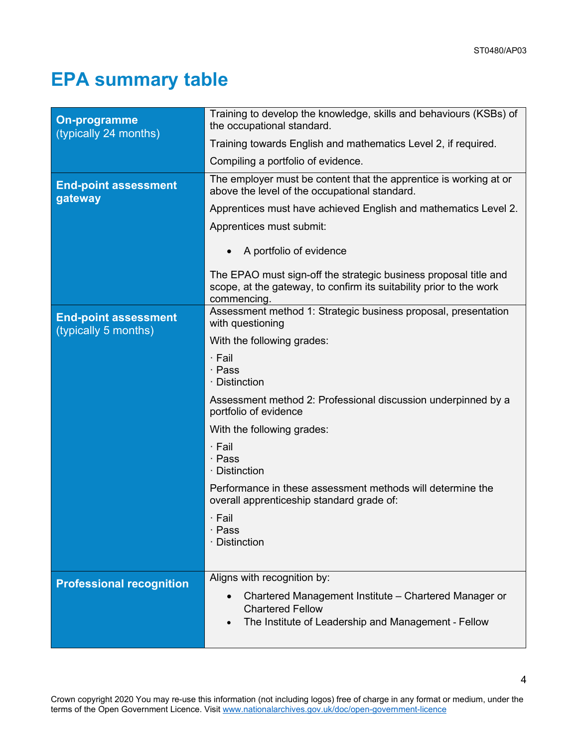# <span id="page-3-0"></span>**EPA summary table**

| <b>On-programme</b><br>(typically 24 months)        | Training to develop the knowledge, skills and behaviours (KSBs) of<br>the occupational standard.                                                       |  |
|-----------------------------------------------------|--------------------------------------------------------------------------------------------------------------------------------------------------------|--|
|                                                     | Training towards English and mathematics Level 2, if required.                                                                                         |  |
|                                                     | Compiling a portfolio of evidence.                                                                                                                     |  |
| <b>End-point assessment</b><br>gateway              | The employer must be content that the apprentice is working at or<br>above the level of the occupational standard.                                     |  |
|                                                     | Apprentices must have achieved English and mathematics Level 2.                                                                                        |  |
|                                                     | Apprentices must submit:                                                                                                                               |  |
|                                                     | A portfolio of evidence                                                                                                                                |  |
|                                                     | The EPAO must sign-off the strategic business proposal title and<br>scope, at the gateway, to confirm its suitability prior to the work<br>commencing. |  |
| <b>End-point assessment</b><br>(typically 5 months) | Assessment method 1: Strategic business proposal, presentation<br>with questioning                                                                     |  |
|                                                     | With the following grades:                                                                                                                             |  |
|                                                     | $\cdot$ Fail<br>· Pass<br>· Distinction<br>Assessment method 2: Professional discussion underpinned by a<br>portfolio of evidence                      |  |
|                                                     |                                                                                                                                                        |  |
|                                                     | With the following grades:                                                                                                                             |  |
|                                                     | · Fail<br>· Pass<br>· Distinction                                                                                                                      |  |
|                                                     | Performance in these assessment methods will determine the<br>overall apprenticeship standard grade of:                                                |  |
|                                                     | · Fail<br>Pass<br>· Distinction                                                                                                                        |  |
|                                                     | Aligns with recognition by:                                                                                                                            |  |
| <b>Professional recognition</b>                     |                                                                                                                                                        |  |
|                                                     | Chartered Management Institute - Chartered Manager or<br><b>Chartered Fellow</b>                                                                       |  |
|                                                     | The Institute of Leadership and Management - Fellow                                                                                                    |  |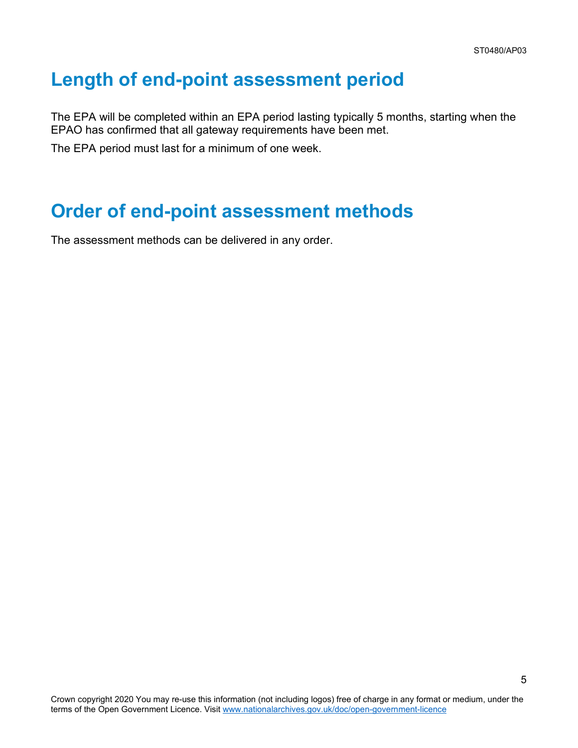### <span id="page-4-0"></span>**Length of end-point assessment period**

The EPA will be completed within an EPA period lasting typically 5 months, starting when the EPAO has confirmed that all gateway requirements have been met.

The EPA period must last for a minimum of one week.

### <span id="page-4-1"></span>**Order of end-point assessment methods**

The assessment methods can be delivered in any order.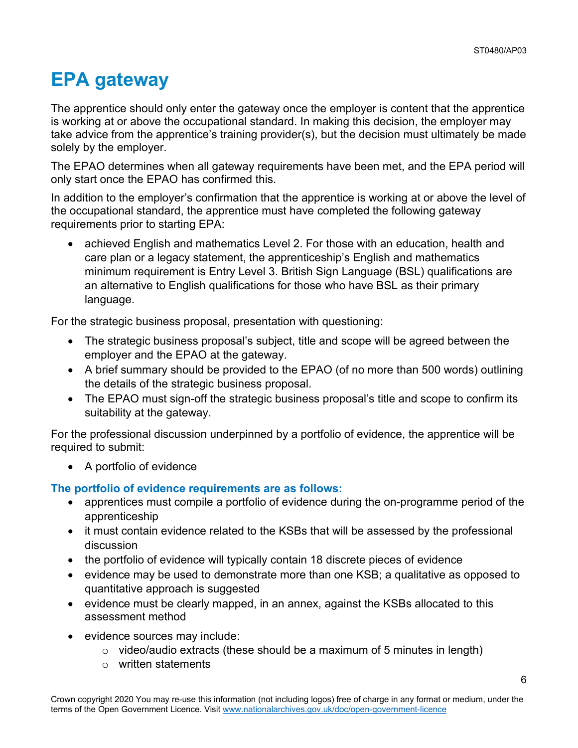# <span id="page-5-0"></span>**EPA gateway**

The apprentice should only enter the gateway once the employer is content that the apprentice is working at or above the occupational standard. In making this decision, the employer may take advice from the apprentice's training provider(s), but the decision must ultimately be made solely by the employer.

The EPAO determines when all gateway requirements have been met, and the EPA period will only start once the EPAO has confirmed this.

In addition to the employer's confirmation that the apprentice is working at or above the level of the occupational standard, the apprentice must have completed the following gateway requirements prior to starting EPA:

• achieved English and mathematics Level 2. For those with an education, health and care plan or a legacy statement, the apprenticeship's English and mathematics minimum requirement is Entry Level 3. British Sign Language (BSL) qualifications are an alternative to English qualifications for those who have BSL as their primary language.

For the strategic business proposal, presentation with questioning:

- The strategic business proposal's subject, title and scope will be agreed between the employer and the EPAO at the gateway.
- A brief summary should be provided to the EPAO (of no more than 500 words) outlining the details of the strategic business proposal.
- The EPAO must sign-off the strategic business proposal's title and scope to confirm its suitability at the gateway.

For the professional discussion underpinned by a portfolio of evidence, the apprentice will be required to submit:

• A portfolio of evidence

#### **The portfolio of evidence requirements are as follows:**

- apprentices must compile a portfolio of evidence during the on-programme period of the apprenticeship
- it must contain evidence related to the KSBs that will be assessed by the professional discussion
- the portfolio of evidence will typically contain 18 discrete pieces of evidence
- evidence may be used to demonstrate more than one KSB; a qualitative as opposed to quantitative approach is suggested
- evidence must be clearly mapped, in an annex, against the KSBs allocated to this assessment method
- evidence sources may include:
	- $\circ$  video/audio extracts (these should be a maximum of 5 minutes in length)
	- o written statements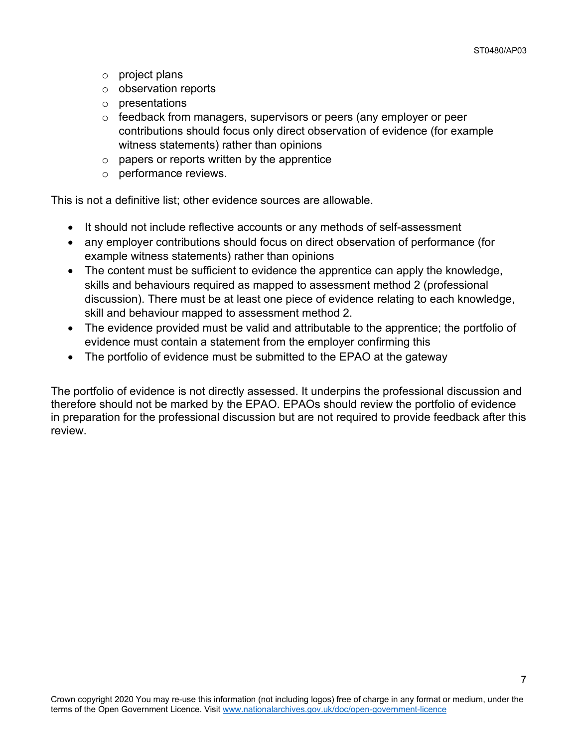- o project plans
- o observation reports
- o presentations
- $\circ$  feedback from managers, supervisors or peers (any employer or peer contributions should focus only direct observation of evidence (for example witness statements) rather than opinions
- $\circ$  papers or reports written by the apprentice
- o performance reviews.

This is not a definitive list; other evidence sources are allowable.

- It should not include reflective accounts or any methods of self-assessment
- any employer contributions should focus on direct observation of performance (for example witness statements) rather than opinions
- The content must be sufficient to evidence the apprentice can apply the knowledge, skills and behaviours required as mapped to assessment method 2 (professional discussion). There must be at least one piece of evidence relating to each knowledge, skill and behaviour mapped to assessment method 2.
- The evidence provided must be valid and attributable to the apprentice; the portfolio of evidence must contain a statement from the employer confirming this
- The portfolio of evidence must be submitted to the EPAO at the gateway

The portfolio of evidence is not directly assessed. It underpins the professional discussion and therefore should not be marked by the EPAO. EPAOs should review the portfolio of evidence in preparation for the professional discussion but are not required to provide feedback after this review.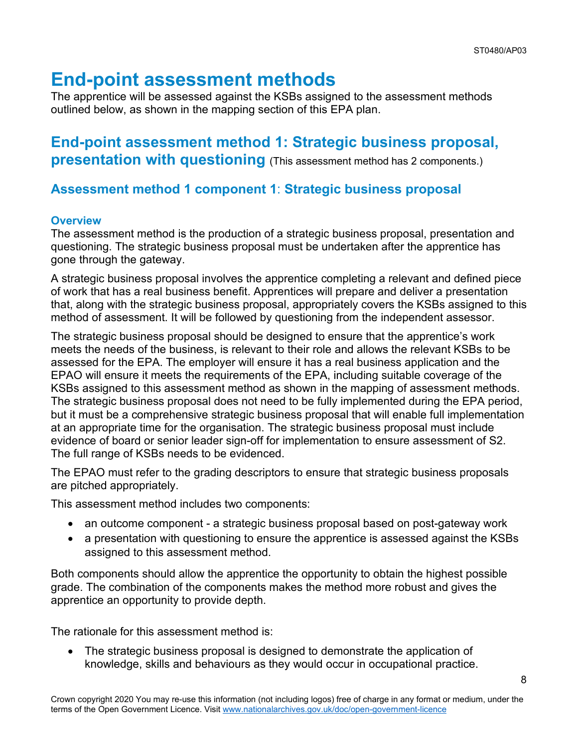## <span id="page-7-0"></span>**End-point assessment methods**

The apprentice will be assessed against the KSBs assigned to the assessment methods outlined below, as shown in the mapping section of this EPA plan.

### **End-point assessment method 1: Strategic business proposal, presentation with questioning** (This assessment method has 2 components.)

### **Assessment method 1 component 1**: **Strategic business proposal**

### **Overview**

The assessment method is the production of a strategic business proposal, presentation and questioning. The strategic business proposal must be undertaken after the apprentice has gone through the gateway.

A strategic business proposal involves the apprentice completing a relevant and defined piece of work that has a real business benefit. Apprentices will prepare and deliver a presentation that, along with the strategic business proposal, appropriately covers the KSBs assigned to this method of assessment. It will be followed by questioning from the independent assessor.

The strategic business proposal should be designed to ensure that the apprentice's work meets the needs of the business, is relevant to their role and allows the relevant KSBs to be assessed for the EPA. The employer will ensure it has a real business application and the EPAO will ensure it meets the requirements of the EPA, including suitable coverage of the KSBs assigned to this assessment method as shown in the mapping of assessment methods. The strategic business proposal does not need to be fully implemented during the EPA period, but it must be a comprehensive strategic business proposal that will enable full implementation at an appropriate time for the organisation. The strategic business proposal must include evidence of board or senior leader sign-off for implementation to ensure assessment of S2. The full range of KSBs needs to be evidenced.

The EPAO must refer to the grading descriptors to ensure that strategic business proposals are pitched appropriately.

This assessment method includes two components:

- an outcome component a strategic business proposal based on post-gateway work
- a presentation with questioning to ensure the apprentice is assessed against the KSBs assigned to this assessment method.

Both components should allow the apprentice the opportunity to obtain the highest possible grade. The combination of the components makes the method more robust and gives the apprentice an opportunity to provide depth.

The rationale for this assessment method is:

• The strategic business proposal is designed to demonstrate the application of knowledge, skills and behaviours as they would occur in occupational practice.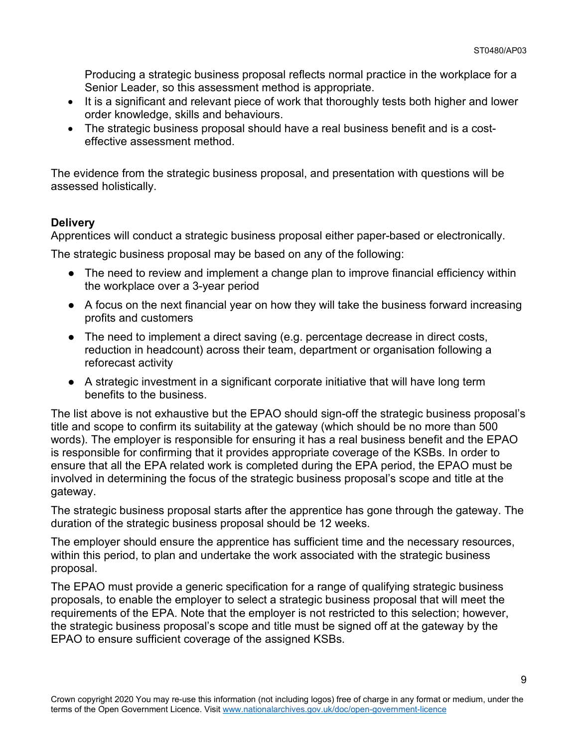Producing a strategic business proposal reflects normal practice in the workplace for a Senior Leader, so this assessment method is appropriate.

- It is a significant and relevant piece of work that thoroughly tests both higher and lower order knowledge, skills and behaviours.
- The strategic business proposal should have a real business benefit and is a costeffective assessment method.

The evidence from the strategic business proposal, and presentation with questions will be assessed holistically.

### **Delivery**

Apprentices will conduct a strategic business proposal either paper-based or electronically.

The strategic business proposal may be based on any of the following:

- The need to review and implement a change plan to improve financial efficiency within the workplace over a 3-year period
- A focus on the next financial year on how they will take the business forward increasing profits and customers
- The need to implement a direct saving (e.g. percentage decrease in direct costs, reduction in headcount) across their team, department or organisation following a reforecast activity
- A strategic investment in a significant corporate initiative that will have long term benefits to the business.

The list above is not exhaustive but the EPAO should sign-off the strategic business proposal's title and scope to confirm its suitability at the gateway (which should be no more than 500 words). The employer is responsible for ensuring it has a real business benefit and the EPAO is responsible for confirming that it provides appropriate coverage of the KSBs. In order to ensure that all the EPA related work is completed during the EPA period, the EPAO must be involved in determining the focus of the strategic business proposal's scope and title at the gateway.

The strategic business proposal starts after the apprentice has gone through the gateway. The duration of the strategic business proposal should be 12 weeks.

The employer should ensure the apprentice has sufficient time and the necessary resources, within this period, to plan and undertake the work associated with the strategic business proposal.

The EPAO must provide a generic specification for a range of qualifying strategic business proposals, to enable the employer to select a strategic business proposal that will meet the requirements of the EPA. Note that the employer is not restricted to this selection; however, the strategic business proposal's scope and title must be signed off at the gateway by the EPAO to ensure sufficient coverage of the assigned KSBs.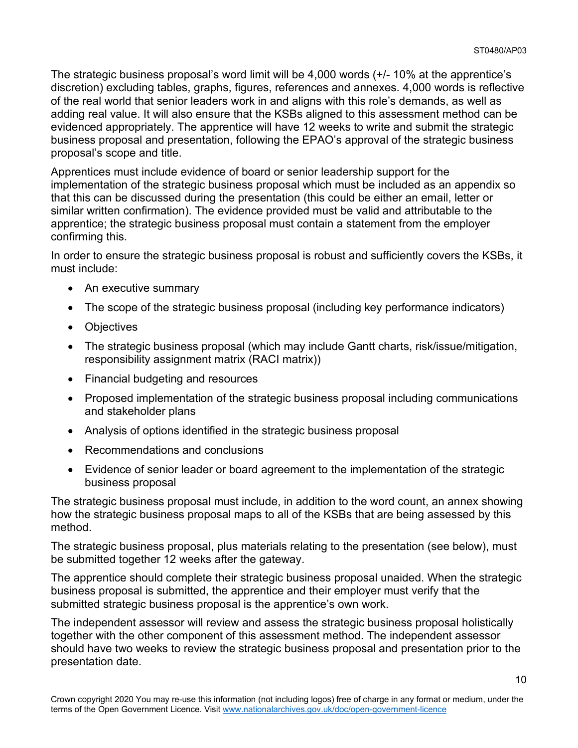The strategic business proposal's word limit will be 4,000 words (+/- 10% at the apprentice's discretion) excluding tables, graphs, figures, references and annexes. 4,000 words is reflective of the real world that senior leaders work in and aligns with this role's demands, as well as adding real value. It will also ensure that the KSBs aligned to this assessment method can be evidenced appropriately. The apprentice will have 12 weeks to write and submit the strategic business proposal and presentation, following the EPAO's approval of the strategic business proposal's scope and title.

Apprentices must include evidence of board or senior leadership support for the implementation of the strategic business proposal which must be included as an appendix so that this can be discussed during the presentation (this could be either an email, letter or similar written confirmation). The evidence provided must be valid and attributable to the apprentice; the strategic business proposal must contain a statement from the employer confirming this.

In order to ensure the strategic business proposal is robust and sufficiently covers the KSBs, it must include:

- An executive summary
- The scope of the strategic business proposal (including key performance indicators)
- Objectives
- The strategic business proposal (which may include Gantt charts, risk/issue/mitigation, responsibility assignment matrix (RACI matrix))
- Financial budgeting and resources
- Proposed implementation of the strategic business proposal including communications and stakeholder plans
- Analysis of options identified in the strategic business proposal
- Recommendations and conclusions
- Evidence of senior leader or board agreement to the implementation of the strategic business proposal

The strategic business proposal must include, in addition to the word count, an annex showing how the strategic business proposal maps to all of the KSBs that are being assessed by this method.

The strategic business proposal, plus materials relating to the presentation (see below), must be submitted together 12 weeks after the gateway.

The apprentice should complete their strategic business proposal unaided. When the strategic business proposal is submitted, the apprentice and their employer must verify that the submitted strategic business proposal is the apprentice's own work.

The independent assessor will review and assess the strategic business proposal holistically together with the other component of this assessment method. The independent assessor should have two weeks to review the strategic business proposal and presentation prior to the presentation date.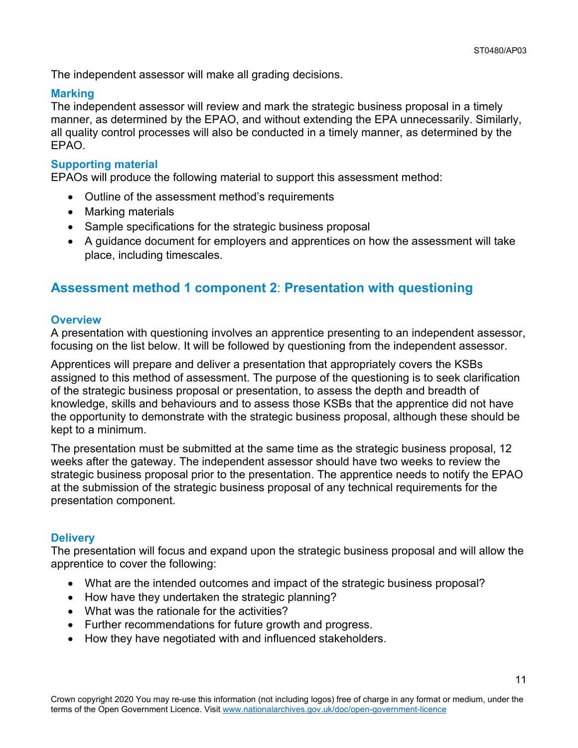The independent assessor will make all grading decisions.

### **Marking**

The independent assessor will review and mark the strategic business proposal in a timely manner, as determined by the EPAO, and without extending the EPA unnecessarily. Similarly, all quality control processes will also be conducted in a timely manner, as determined by the EPAO.

### **Supporting material**

EPAOs will produce the following material to support this assessment method:

- Outline of the assessment method's requirements
- Marking materials
- Sample specifications for the strategic business proposal
- A guidance document for employers and apprentices on how the assessment will take place, including timescales.

### **Assessment method 1 component 2**: **Presentation with questioning**

#### **Overview**

A presentation with questioning involves an apprentice presenting to an independent assessor, focusing on the list below. It will be followed by questioning from the independent assessor.

Apprentices will prepare and deliver a presentation that appropriately covers the KSBs assigned to this method of assessment. The purpose of the questioning is to seek clarification of the strategic business proposal or presentation, to assess the depth and breadth of knowledge, skills and behaviours and to assess those KSBs that the apprentice did not have the opportunity to demonstrate with the strategic business proposal, although these should be kept to a minimum.

The presentation must be submitted at the same time as the strategic business proposal, 12 weeks after the gateway. The independent assessor should have two weeks to review the strategic business proposal prior to the presentation. The apprentice needs to notify the EPAO at the submission of the strategic business proposal of any technical requirements for the presentation component.

#### **Delivery**

The presentation will focus and expand upon the strategic business proposal and will allow the apprentice to cover the following:

- What are the intended outcomes and impact of the strategic business proposal?
- How have they undertaken the strategic planning?
- What was the rationale for the activities?
- Further recommendations for future growth and progress.
- How they have negotiated with and influenced stakeholders.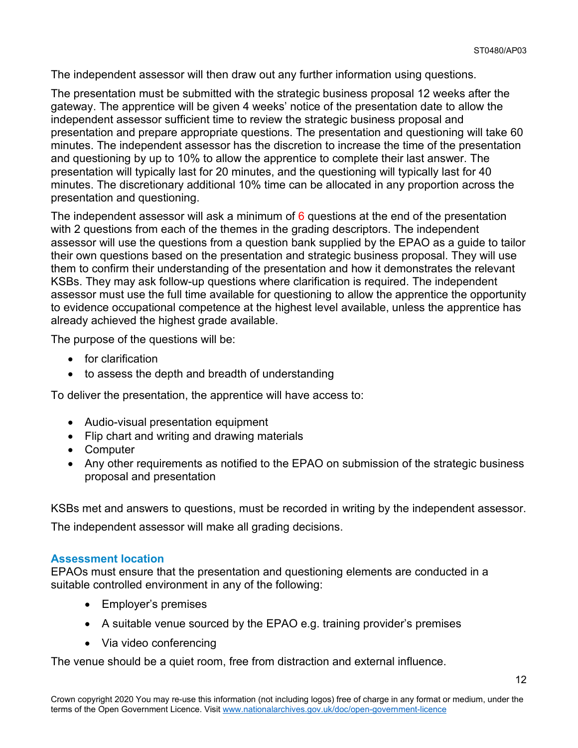The independent assessor will then draw out any further information using questions.

The presentation must be submitted with the strategic business proposal 12 weeks after the gateway. The apprentice will be given 4 weeks' notice of the presentation date to allow the independent assessor sufficient time to review the strategic business proposal and presentation and prepare appropriate questions. The presentation and questioning will take 60 minutes. The independent assessor has the discretion to increase the time of the presentation and questioning by up to 10% to allow the apprentice to complete their last answer. The presentation will typically last for 20 minutes, and the questioning will typically last for 40 minutes. The discretionary additional 10% time can be allocated in any proportion across the presentation and questioning.

The independent assessor will ask a minimum of 6 questions at the end of the presentation with 2 questions from each of the themes in the grading descriptors. The independent assessor will use the questions from a question bank supplied by the EPAO as a guide to tailor their own questions based on the presentation and strategic business proposal. They will use them to confirm their understanding of the presentation and how it demonstrates the relevant KSBs. They may ask follow-up questions where clarification is required. The independent assessor must use the full time available for questioning to allow the apprentice the opportunity to evidence occupational competence at the highest level available, unless the apprentice has already achieved the highest grade available.

The purpose of the questions will be:

- for clarification
- to assess the depth and breadth of understanding

To deliver the presentation, the apprentice will have access to:

- Audio-visual presentation equipment
- Flip chart and writing and drawing materials
- Computer
- Any other requirements as notified to the EPAO on submission of the strategic business proposal and presentation

KSBs met and answers to questions, must be recorded in writing by the independent assessor.

The independent assessor will make all grading decisions.

#### **Assessment location**

EPAOs must ensure that the presentation and questioning elements are conducted in a suitable controlled environment in any of the following:

- Employer's premises
- A suitable venue sourced by the EPAO e.g. training provider's premises
- Via video conferencing

The venue should be a quiet room, free from distraction and external influence.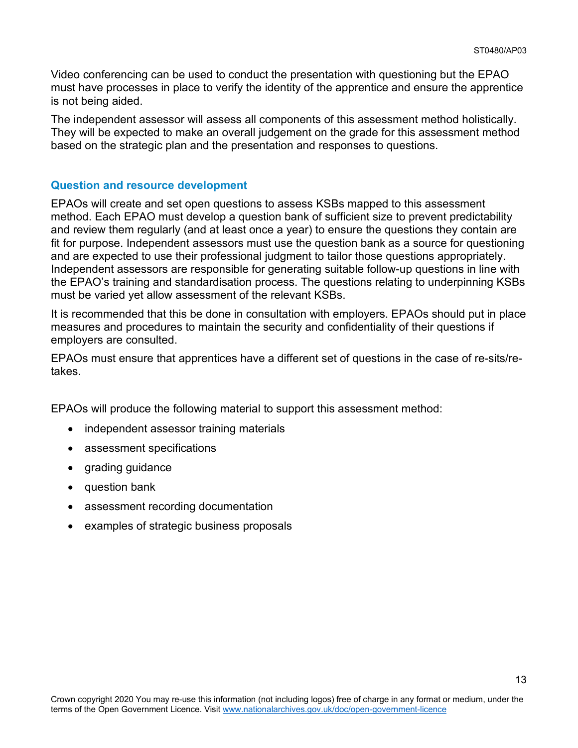Video conferencing can be used to conduct the presentation with questioning but the EPAO must have processes in place to verify the identity of the apprentice and ensure the apprentice is not being aided.

The independent assessor will assess all components of this assessment method holistically. They will be expected to make an overall judgement on the grade for this assessment method based on the strategic plan and the presentation and responses to questions.

#### **Question and resource development**

EPAOs will create and set open questions to assess KSBs mapped to this assessment method. Each EPAO must develop a question bank of sufficient size to prevent predictability and review them regularly (and at least once a year) to ensure the questions they contain are fit for purpose. Independent assessors must use the question bank as a source for questioning and are expected to use their professional judgment to tailor those questions appropriately. Independent assessors are responsible for generating suitable follow-up questions in line with the EPAO's training and standardisation process. The questions relating to underpinning KSBs must be varied yet allow assessment of the relevant KSBs.

It is recommended that this be done in consultation with employers. EPAOs should put in place measures and procedures to maintain the security and confidentiality of their questions if employers are consulted.

EPAOs must ensure that apprentices have a different set of questions in the case of re-sits/retakes.

EPAOs will produce the following material to support this assessment method:

- independent assessor training materials
- assessment specifications
- grading guidance
- question bank
- assessment recording documentation
- examples of strategic business proposals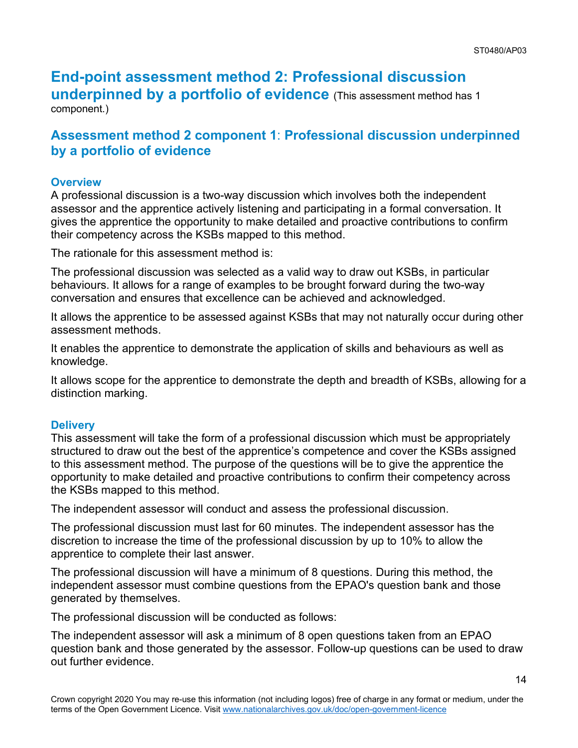## **End-point assessment method 2: Professional discussion underpinned by a portfolio of evidence** (This assessment method has 1

component.)

### **Assessment method 2 component 1**: **Professional discussion underpinned by a portfolio of evidence**

### **Overview**

A professional discussion is a two-way discussion which involves both the independent assessor and the apprentice actively listening and participating in a formal conversation. It gives the apprentice the opportunity to make detailed and proactive contributions to confirm their competency across the KSBs mapped to this method.

The rationale for this assessment method is:

The professional discussion was selected as a valid way to draw out KSBs, in particular behaviours. It allows for a range of examples to be brought forward during the two-way conversation and ensures that excellence can be achieved and acknowledged.

It allows the apprentice to be assessed against KSBs that may not naturally occur during other assessment methods.

It enables the apprentice to demonstrate the application of skills and behaviours as well as knowledge.

It allows scope for the apprentice to demonstrate the depth and breadth of KSBs, allowing for a distinction marking.

#### **Delivery**

This assessment will take the form of a professional discussion which must be appropriately structured to draw out the best of the apprentice's competence and cover the KSBs assigned to this assessment method. The purpose of the questions will be to give the apprentice the opportunity to make detailed and proactive contributions to confirm their competency across the KSBs mapped to this method.

The independent assessor will conduct and assess the professional discussion.

The professional discussion must last for 60 minutes. The independent assessor has the discretion to increase the time of the professional discussion by up to 10% to allow the apprentice to complete their last answer.

The professional discussion will have a minimum of 8 questions. During this method, the independent assessor must combine questions from the EPAO's question bank and those generated by themselves.

The professional discussion will be conducted as follows:

The independent assessor will ask a minimum of 8 open questions taken from an EPAO question bank and those generated by the assessor. Follow-up questions can be used to draw out further evidence.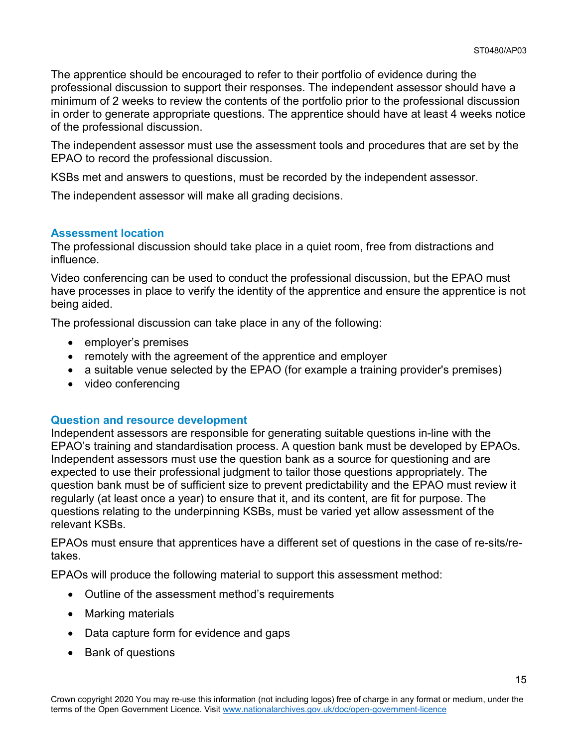The apprentice should be encouraged to refer to their portfolio of evidence during the professional discussion to support their responses. The independent assessor should have a minimum of 2 weeks to review the contents of the portfolio prior to the professional discussion in order to generate appropriate questions. The apprentice should have at least 4 weeks notice of the professional discussion.

The independent assessor must use the assessment tools and procedures that are set by the EPAO to record the professional discussion.

KSBs met and answers to questions, must be recorded by the independent assessor.

The independent assessor will make all grading decisions.

#### **Assessment location**

The professional discussion should take place in a quiet room, free from distractions and influence.

Video conferencing can be used to conduct the professional discussion, but the EPAO must have processes in place to verify the identity of the apprentice and ensure the apprentice is not being aided.

The professional discussion can take place in any of the following:

- employer's premises
- remotely with the agreement of the apprentice and employer
- a suitable venue selected by the EPAO (for example a training provider's premises)
- video conferencing

### **Question and resource development**

Independent assessors are responsible for generating suitable questions in-line with the EPAO's training and standardisation process. A question bank must be developed by EPAOs. Independent assessors must use the question bank as a source for questioning and are expected to use their professional judgment to tailor those questions appropriately. The question bank must be of sufficient size to prevent predictability and the EPAO must review it regularly (at least once a year) to ensure that it, and its content, are fit for purpose. The questions relating to the underpinning KSBs, must be varied yet allow assessment of the relevant KSBs.

EPAOs must ensure that apprentices have a different set of questions in the case of re-sits/retakes.

EPAOs will produce the following material to support this assessment method:

- Outline of the assessment method's requirements
- Marking materials
- Data capture form for evidence and gaps
- Bank of questions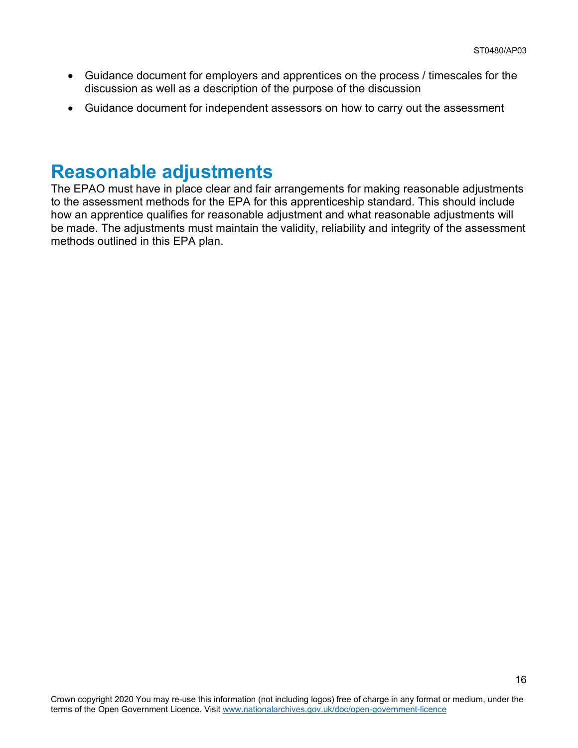- Guidance document for employers and apprentices on the process / timescales for the discussion as well as a description of the purpose of the discussion
- Guidance document for independent assessors on how to carry out the assessment

### <span id="page-15-0"></span>**Reasonable adjustments**

The EPAO must have in place clear and fair arrangements for making reasonable adjustments to the assessment methods for the EPA for this apprenticeship standard. This should include how an apprentice qualifies for reasonable adjustment and what reasonable adjustments will be made. The adjustments must maintain the validity, reliability and integrity of the assessment methods outlined in this EPA plan.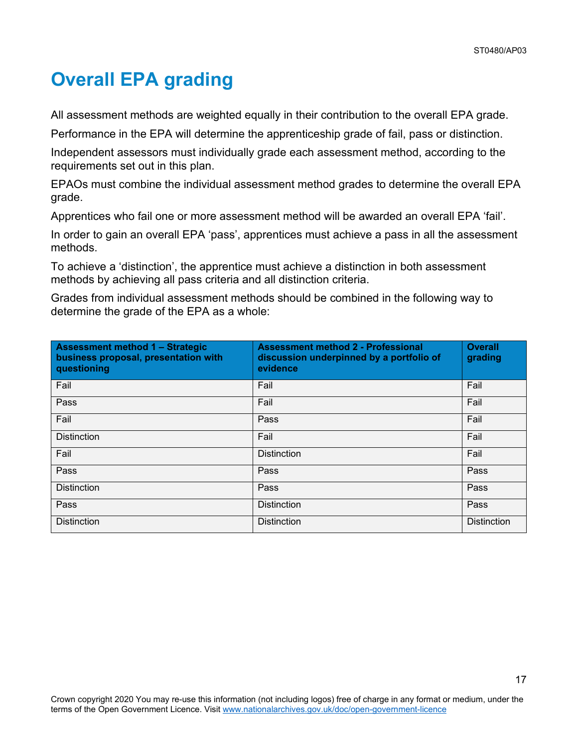# **Overall EPA grading**

All assessment methods are weighted equally in their contribution to the overall EPA grade.

Performance in the EPA will determine the apprenticeship grade of fail, pass or distinction.

Independent assessors must individually grade each assessment method, according to the requirements set out in this plan.

EPAOs must combine the individual assessment method grades to determine the overall EPA grade.

Apprentices who fail one or more assessment method will be awarded an overall EPA 'fail'.

In order to gain an overall EPA 'pass', apprentices must achieve a pass in all the assessment methods.

To achieve a 'distinction', the apprentice must achieve a distinction in both assessment methods by achieving all pass criteria and all distinction criteria.

Grades from individual assessment methods should be combined in the following way to determine the grade of the EPA as a whole:

| Assessment method 1 - Strategic<br>business proposal, presentation with<br>questioning | <b>Assessment method 2 - Professional</b><br>discussion underpinned by a portfolio of<br>evidence | <b>Overall</b><br>grading |
|----------------------------------------------------------------------------------------|---------------------------------------------------------------------------------------------------|---------------------------|
| Fail                                                                                   | Fail                                                                                              | Fail                      |
| Pass                                                                                   | Fail                                                                                              | Fail                      |
| Fail                                                                                   | Pass                                                                                              | Fail                      |
| <b>Distinction</b>                                                                     | Fail                                                                                              | Fail                      |
| Fail                                                                                   | <b>Distinction</b>                                                                                | Fail                      |
| Pass                                                                                   | Pass                                                                                              | Pass                      |
| <b>Distinction</b>                                                                     | Pass                                                                                              | Pass                      |
| Pass                                                                                   | <b>Distinction</b>                                                                                | Pass                      |
| <b>Distinction</b>                                                                     | <b>Distinction</b>                                                                                | <b>Distinction</b>        |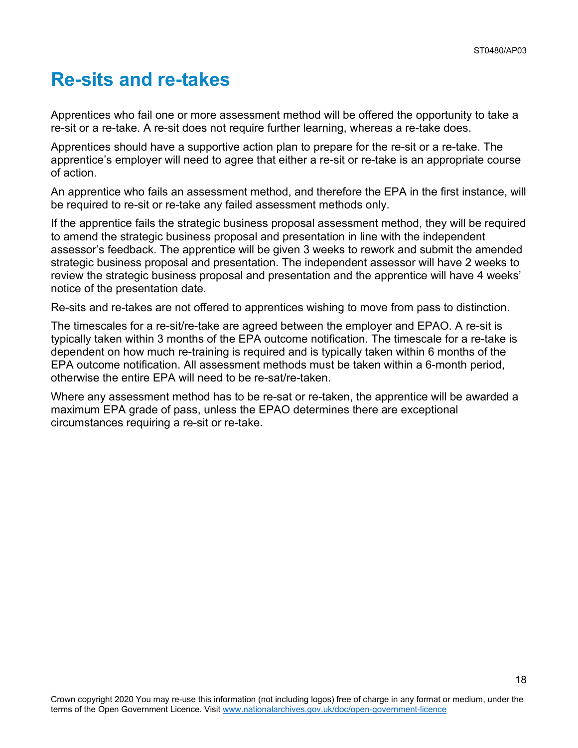## <span id="page-17-0"></span>**Re-sits and re-takes**

Apprentices who fail one or more assessment method will be offered the opportunity to take a re-sit or a re-take. A re-sit does not require further learning, whereas a re-take does.

Apprentices should have a supportive action plan to prepare for the re-sit or a re-take. The apprentice's employer will need to agree that either a re-sit or re-take is an appropriate course of action.

An apprentice who fails an assessment method, and therefore the EPA in the first instance, will be required to re-sit or re-take any failed assessment methods only.

If the apprentice fails the strategic business proposal assessment method, they will be required to amend the strategic business proposal and presentation in line with the independent assessor's feedback. The apprentice will be given 3 weeks to rework and submit the amended strategic business proposal and presentation. The independent assessor will have 2 weeks to review the strategic business proposal and presentation and the apprentice will have 4 weeks' notice of the presentation date.

Re-sits and re-takes are not offered to apprentices wishing to move from pass to distinction.

The timescales for a re-sit/re-take are agreed between the employer and EPAO. A re-sit is typically taken within 3 months of the EPA outcome notification. The timescale for a re-take is dependent on how much re-training is required and is typically taken within 6 months of the EPA outcome notification. All assessment methods must be taken within a 6-month period, otherwise the entire EPA will need to be re-sat/re-taken.

Where any assessment method has to be re-sat or re-taken, the apprentice will be awarded a maximum EPA grade of pass, unless the EPAO determines there are exceptional circumstances requiring a re-sit or re-take.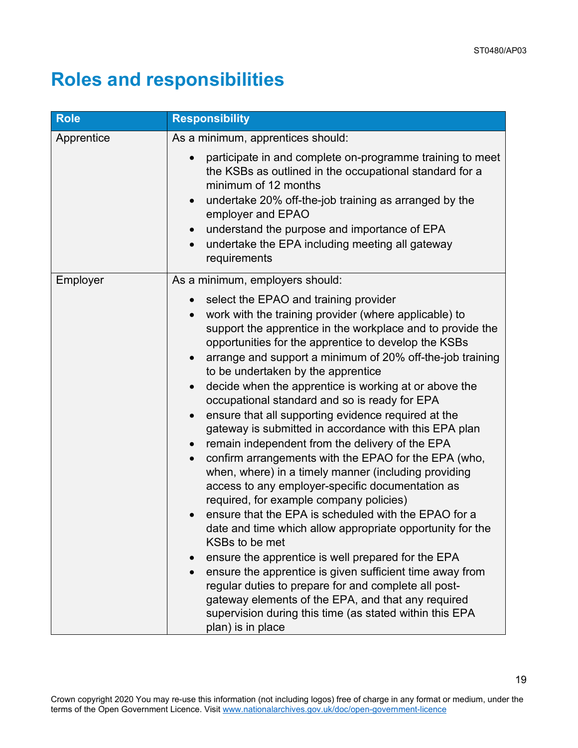# <span id="page-18-0"></span>**Roles and responsibilities**

| <b>Role</b> | <b>Responsibility</b>                                                                                                                                                                                                                                                                                                                                                                                                                                                                                                                                                                                                                                                                                                                                                                                                                                                                                                                                                                                                                                                                                                                                                                                                                                                                                                          |  |
|-------------|--------------------------------------------------------------------------------------------------------------------------------------------------------------------------------------------------------------------------------------------------------------------------------------------------------------------------------------------------------------------------------------------------------------------------------------------------------------------------------------------------------------------------------------------------------------------------------------------------------------------------------------------------------------------------------------------------------------------------------------------------------------------------------------------------------------------------------------------------------------------------------------------------------------------------------------------------------------------------------------------------------------------------------------------------------------------------------------------------------------------------------------------------------------------------------------------------------------------------------------------------------------------------------------------------------------------------------|--|
| Apprentice  | As a minimum, apprentices should:                                                                                                                                                                                                                                                                                                                                                                                                                                                                                                                                                                                                                                                                                                                                                                                                                                                                                                                                                                                                                                                                                                                                                                                                                                                                                              |  |
|             | participate in and complete on-programme training to meet<br>the KSBs as outlined in the occupational standard for a<br>minimum of 12 months<br>undertake 20% off-the-job training as arranged by the<br>employer and EPAO<br>understand the purpose and importance of EPA<br>undertake the EPA including meeting all gateway<br>$\bullet$<br>requirements                                                                                                                                                                                                                                                                                                                                                                                                                                                                                                                                                                                                                                                                                                                                                                                                                                                                                                                                                                     |  |
| Employer    | As a minimum, employers should:                                                                                                                                                                                                                                                                                                                                                                                                                                                                                                                                                                                                                                                                                                                                                                                                                                                                                                                                                                                                                                                                                                                                                                                                                                                                                                |  |
|             | select the EPAO and training provider<br>$\bullet$<br>work with the training provider (where applicable) to<br>support the apprentice in the workplace and to provide the<br>opportunities for the apprentice to develop the KSBs<br>arrange and support a minimum of 20% off-the-job training<br>to be undertaken by the apprentice<br>decide when the apprentice is working at or above the<br>$\bullet$<br>occupational standard and so is ready for EPA<br>ensure that all supporting evidence required at the<br>gateway is submitted in accordance with this EPA plan<br>remain independent from the delivery of the EPA<br>confirm arrangements with the EPAO for the EPA (who,<br>$\bullet$<br>when, where) in a timely manner (including providing<br>access to any employer-specific documentation as<br>required, for example company policies)<br>ensure that the EPA is scheduled with the EPAO for a<br>date and time which allow appropriate opportunity for the<br>KSBs to be met<br>ensure the apprentice is well prepared for the EPA<br>ensure the apprentice is given sufficient time away from<br>$\bullet$<br>regular duties to prepare for and complete all post-<br>gateway elements of the EPA, and that any required<br>supervision during this time (as stated within this EPA<br>plan) is in place |  |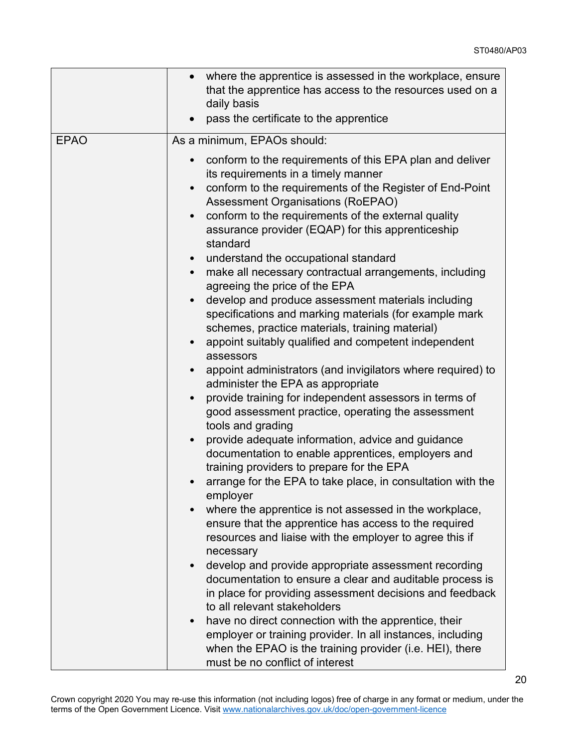20

|             | where the apprentice is assessed in the workplace, ensure<br>that the apprentice has access to the resources used on a<br>daily basis<br>pass the certificate to the apprentice                                                                                                                                                                                                                                                                                                                                                                                                                                                       |
|-------------|---------------------------------------------------------------------------------------------------------------------------------------------------------------------------------------------------------------------------------------------------------------------------------------------------------------------------------------------------------------------------------------------------------------------------------------------------------------------------------------------------------------------------------------------------------------------------------------------------------------------------------------|
| <b>EPAO</b> | As a minimum, EPAOs should:                                                                                                                                                                                                                                                                                                                                                                                                                                                                                                                                                                                                           |
|             | conform to the requirements of this EPA plan and deliver<br>its requirements in a timely manner<br>conform to the requirements of the Register of End-Point<br><b>Assessment Organisations (RoEPAO)</b><br>conform to the requirements of the external quality<br>assurance provider (EQAP) for this apprenticeship<br>standard<br>understand the occupational standard<br>make all necessary contractual arrangements, including<br>agreeing the price of the EPA<br>develop and produce assessment materials including<br>specifications and marking materials (for example mark<br>schemes, practice materials, training material) |
|             | appoint suitably qualified and competent independent<br>assessors                                                                                                                                                                                                                                                                                                                                                                                                                                                                                                                                                                     |
|             | appoint administrators (and invigilators where required) to<br>administer the EPA as appropriate                                                                                                                                                                                                                                                                                                                                                                                                                                                                                                                                      |
|             | provide training for independent assessors in terms of<br>good assessment practice, operating the assessment<br>tools and grading                                                                                                                                                                                                                                                                                                                                                                                                                                                                                                     |
|             | provide adequate information, advice and guidance<br>$\bullet$<br>documentation to enable apprentices, employers and<br>training providers to prepare for the EPA                                                                                                                                                                                                                                                                                                                                                                                                                                                                     |
|             | arrange for the EPA to take place, in consultation with the<br>employer                                                                                                                                                                                                                                                                                                                                                                                                                                                                                                                                                               |
|             | where the apprentice is not assessed in the workplace,<br>ensure that the apprentice has access to the required<br>resources and liaise with the employer to agree this if<br>necessary                                                                                                                                                                                                                                                                                                                                                                                                                                               |
|             | develop and provide appropriate assessment recording<br>documentation to ensure a clear and auditable process is<br>in place for providing assessment decisions and feedback<br>to all relevant stakeholders                                                                                                                                                                                                                                                                                                                                                                                                                          |
|             | have no direct connection with the apprentice, their<br>$\bullet$<br>employer or training provider. In all instances, including<br>when the EPAO is the training provider (i.e. HEI), there<br>must be no conflict of interest                                                                                                                                                                                                                                                                                                                                                                                                        |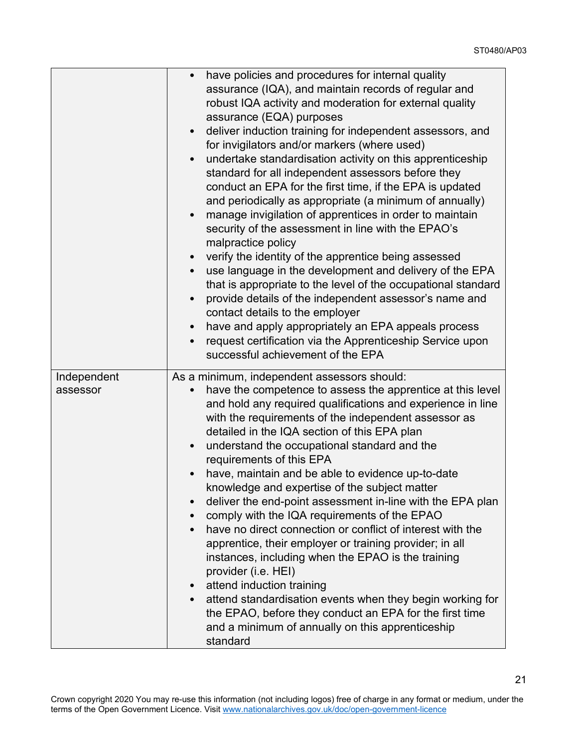|                         | have policies and procedures for internal quality<br>$\bullet$<br>assurance (IQA), and maintain records of regular and<br>robust IQA activity and moderation for external quality<br>assurance (EQA) purposes<br>deliver induction training for independent assessors, and<br>for invigilators and/or markers (where used)<br>undertake standardisation activity on this apprenticeship<br>standard for all independent assessors before they<br>conduct an EPA for the first time, if the EPA is updated<br>and periodically as appropriate (a minimum of annually)<br>manage invigilation of apprentices in order to maintain<br>security of the assessment in line with the EPAO's<br>malpractice policy<br>verify the identity of the apprentice being assessed<br>use language in the development and delivery of the EPA<br>that is appropriate to the level of the occupational standard<br>provide details of the independent assessor's name and<br>contact details to the employer<br>have and apply appropriately an EPA appeals process<br>request certification via the Apprenticeship Service upon<br>successful achievement of the EPA |
|-------------------------|-------------------------------------------------------------------------------------------------------------------------------------------------------------------------------------------------------------------------------------------------------------------------------------------------------------------------------------------------------------------------------------------------------------------------------------------------------------------------------------------------------------------------------------------------------------------------------------------------------------------------------------------------------------------------------------------------------------------------------------------------------------------------------------------------------------------------------------------------------------------------------------------------------------------------------------------------------------------------------------------------------------------------------------------------------------------------------------------------------------------------------------------------------|
| Independent<br>assessor | As a minimum, independent assessors should:<br>have the competence to assess the apprentice at this level<br>and hold any required qualifications and experience in line<br>with the requirements of the independent assessor as<br>detailed in the IQA section of this EPA plan<br>understand the occupational standard and the<br>requirements of this EPA<br>have, maintain and be able to evidence up-to-date<br>knowledge and expertise of the subject matter<br>deliver the end-point assessment in-line with the EPA plan<br>$\bullet$<br>comply with the IQA requirements of the EPAO<br>have no direct connection or conflict of interest with the<br>$\bullet$<br>apprentice, their employer or training provider; in all<br>instances, including when the EPAO is the training<br>provider (i.e. HEI)<br>attend induction training<br>attend standardisation events when they begin working for<br>the EPAO, before they conduct an EPA for the first time<br>and a minimum of annually on this apprenticeship<br>standard                                                                                                                 |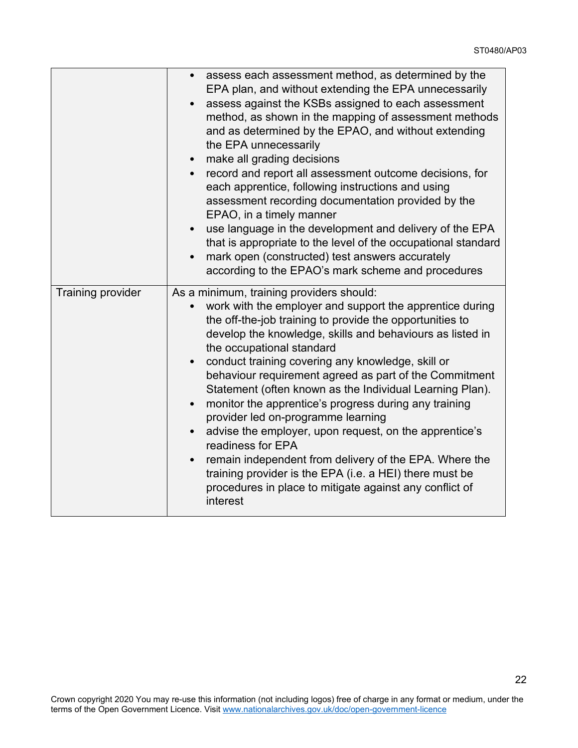|                          | • assess each assessment method, as determined by the<br>EPA plan, and without extending the EPA unnecessarily<br>assess against the KSBs assigned to each assessment<br>method, as shown in the mapping of assessment methods<br>and as determined by the EPAO, and without extending<br>the EPA unnecessarily<br>• make all grading decisions<br>• record and report all assessment outcome decisions, for<br>each apprentice, following instructions and using<br>assessment recording documentation provided by the<br>EPAO, in a timely manner<br>use language in the development and delivery of the EPA<br>$\bullet$<br>that is appropriate to the level of the occupational standard<br>mark open (constructed) test answers accurately<br>according to the EPAO's mark scheme and procedures                                     |
|--------------------------|-------------------------------------------------------------------------------------------------------------------------------------------------------------------------------------------------------------------------------------------------------------------------------------------------------------------------------------------------------------------------------------------------------------------------------------------------------------------------------------------------------------------------------------------------------------------------------------------------------------------------------------------------------------------------------------------------------------------------------------------------------------------------------------------------------------------------------------------|
| <b>Training provider</b> | As a minimum, training providers should:<br>work with the employer and support the apprentice during<br>the off-the-job training to provide the opportunities to<br>develop the knowledge, skills and behaviours as listed in<br>the occupational standard<br>conduct training covering any knowledge, skill or<br>behaviour requirement agreed as part of the Commitment<br>Statement (often known as the Individual Learning Plan).<br>monitor the apprentice's progress during any training<br>$\bullet$<br>provider led on-programme learning<br>advise the employer, upon request, on the apprentice's<br>readiness for EPA<br>remain independent from delivery of the EPA. Where the<br>$\bullet$<br>training provider is the EPA (i.e. a HEI) there must be<br>procedures in place to mitigate against any conflict of<br>interest |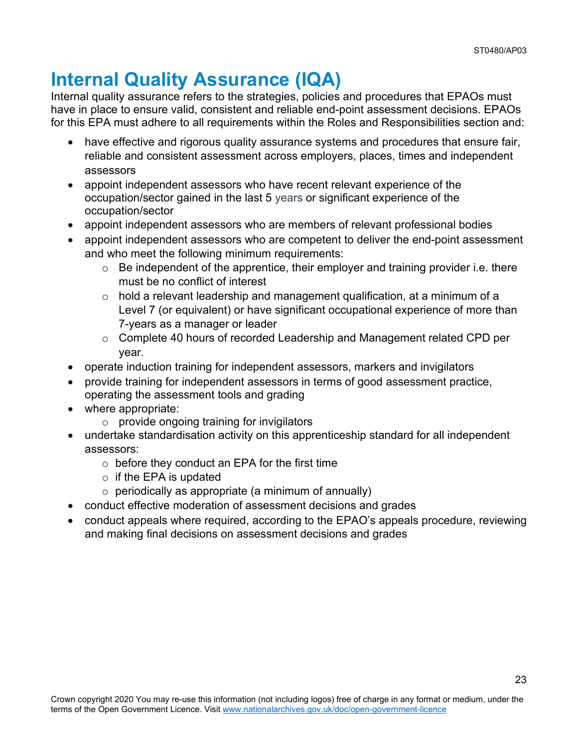## <span id="page-22-0"></span>**Internal Quality Assurance (IQA)**

Internal quality assurance refers to the strategies, policies and procedures that EPAOs must have in place to ensure valid, consistent and reliable end-point assessment decisions. EPAOs for this EPA must adhere to all requirements within the Roles and Responsibilities section and:

- have effective and rigorous quality assurance systems and procedures that ensure fair, reliable and consistent assessment across employers, places, times and independent assessors
- appoint independent assessors who have recent relevant experience of the occupation/sector gained in the last 5 years or significant experience of the occupation/sector
- appoint independent assessors who are members of relevant professional bodies
- appoint independent assessors who are competent to deliver the end-point assessment and who meet the following minimum requirements:
	- $\circ$  Be independent of the apprentice, their employer and training provider i.e. there must be no conflict of interest
	- $\circ$  hold a relevant leadership and management qualification, at a minimum of a Level 7 (or equivalent) or have significant occupational experience of more than 7-years as a manager or leader
	- o Complete 40 hours of recorded Leadership and Management related CPD per year.
- operate induction training for independent assessors, markers and invigilators
- provide training for independent assessors in terms of good assessment practice, operating the assessment tools and grading
- where appropriate:
	- $\circ$  provide ongoing training for invigilators
- undertake standardisation activity on this apprenticeship standard for all independent assessors:
	- $\circ$  before they conduct an EPA for the first time
	- $\circ$  if the EPA is updated
	- $\circ$  periodically as appropriate (a minimum of annually)
- conduct effective moderation of assessment decisions and grades
- conduct appeals where required, according to the EPAO's appeals procedure, reviewing and making final decisions on assessment decisions and grades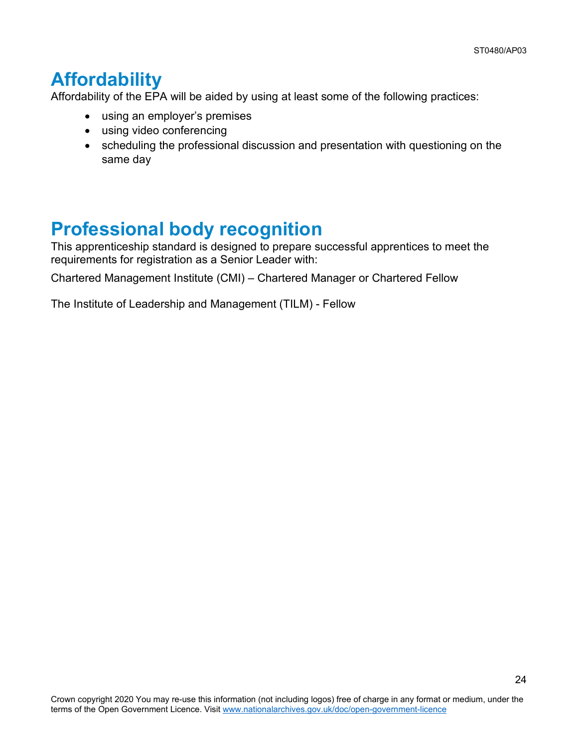## <span id="page-23-0"></span>**Affordability**

Affordability of the EPA will be aided by using at least some of the following practices:

- using an employer's premises
- using video conferencing
- scheduling the professional discussion and presentation with questioning on the same day

## <span id="page-23-1"></span>**Professional body recognition**

This apprenticeship standard is designed to prepare successful apprentices to meet the requirements for registration as a Senior Leader with:

Chartered Management Institute (CMI) – Chartered Manager or Chartered Fellow

The Institute of Leadership and Management (TILM) - Fellow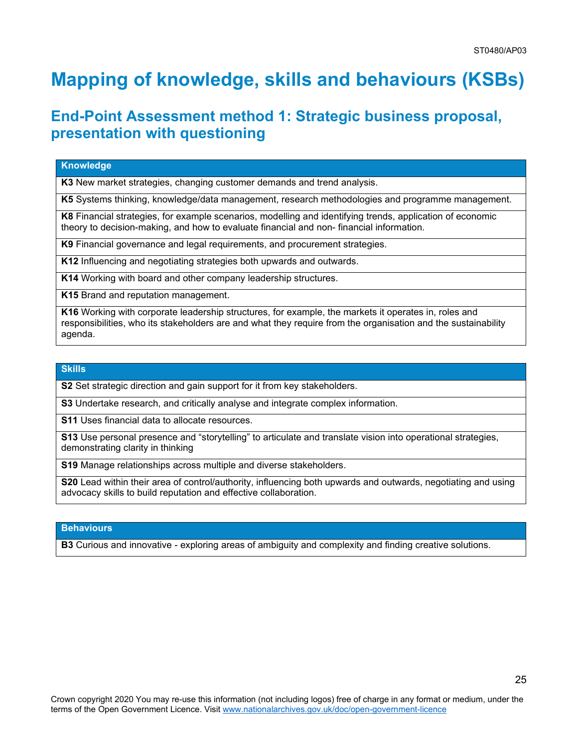# <span id="page-24-0"></span>**Mapping of knowledge, skills and behaviours (KSBs)**

### **End-Point Assessment method 1: Strategic business proposal, presentation with questioning**

#### **Knowledge**

**K3** New market strategies, changing customer demands and trend analysis.

**K5** Systems thinking, knowledge/data management, research methodologies and programme management.

**K8** Financial strategies, for example scenarios, modelling and identifying trends, application of economic theory to decision-making, and how to evaluate financial and non- financial information.

**K9** Financial governance and legal requirements, and procurement strategies.

**K12** Influencing and negotiating strategies both upwards and outwards.

**K14** Working with board and other company leadership structures.

**K15** Brand and reputation management.

**K16** Working with corporate leadership structures, for example, the markets it operates in, roles and responsibilities, who its stakeholders are and what they require from the organisation and the sustainability agenda.

#### **Skills**

**S2** Set strategic direction and gain support for it from key stakeholders.

**S3** Undertake research, and critically analyse and integrate complex information.

**S11** Uses financial data to allocate resources.

**S13** Use personal presence and "storytelling" to articulate and translate vision into operational strategies, demonstrating clarity in thinking

**S19** Manage relationships across multiple and diverse stakeholders.

**S20** Lead within their area of control/authority, influencing both upwards and outwards, negotiating and using advocacy skills to build reputation and effective collaboration.

#### **Behaviours**

**B3** Curious and innovative - exploring areas of ambiguity and complexity and finding creative solutions.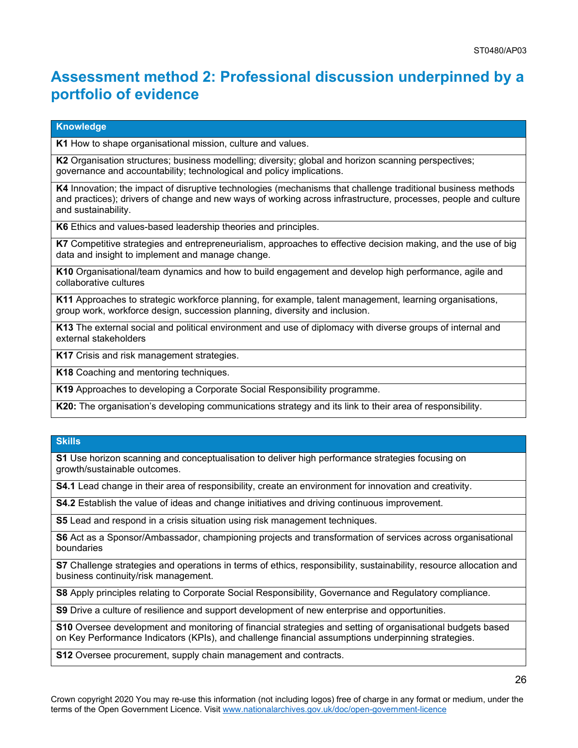### **Assessment method 2: Professional discussion underpinned by a portfolio of evidence**

#### **Knowledge**

**K1** How to shape organisational mission, culture and values.

**K2** Organisation structures; business modelling; diversity; global and horizon scanning perspectives; governance and accountability; technological and policy implications.

**K4** Innovation; the impact of disruptive technologies (mechanisms that challenge traditional business methods and practices); drivers of change and new ways of working across infrastructure, processes, people and culture and sustainability.

**K6** Ethics and values-based leadership theories and principles.

**K7** Competitive strategies and entrepreneurialism, approaches to effective decision making, and the use of big data and insight to implement and manage change.

**K10** Organisational/team dynamics and how to build engagement and develop high performance, agile and collaborative cultures

**K11** Approaches to strategic workforce planning, for example, talent management, learning organisations, group work, workforce design, succession planning, diversity and inclusion.

**K13** The external social and political environment and use of diplomacy with diverse groups of internal and external stakeholders

**K17** Crisis and risk management strategies.

**K18** Coaching and mentoring techniques.

**K19** Approaches to developing a Corporate Social Responsibility programme.

**K20:** The organisation's developing communications strategy and its link to their area of responsibility.

#### **Skills**

**S1** Use horizon scanning and conceptualisation to deliver high performance strategies focusing on growth/sustainable outcomes.

**S4.1** Lead change in their area of responsibility, create an environment for innovation and creativity.

**S4.2** Establish the value of ideas and change initiatives and driving continuous improvement.

**S5** Lead and respond in a crisis situation using risk management techniques.

**S6** Act as a Sponsor/Ambassador, championing projects and transformation of services across organisational boundaries

**S7** Challenge strategies and operations in terms of ethics, responsibility, sustainability, resource allocation and business continuity/risk management.

**S8** Apply principles relating to Corporate Social Responsibility, Governance and Regulatory compliance.

**S9** Drive a culture of resilience and support development of new enterprise and opportunities.

**S10** Oversee development and monitoring of financial strategies and setting of organisational budgets based on Key Performance Indicators (KPIs), and challenge financial assumptions underpinning strategies.

**S12** Oversee procurement, supply chain management and contracts.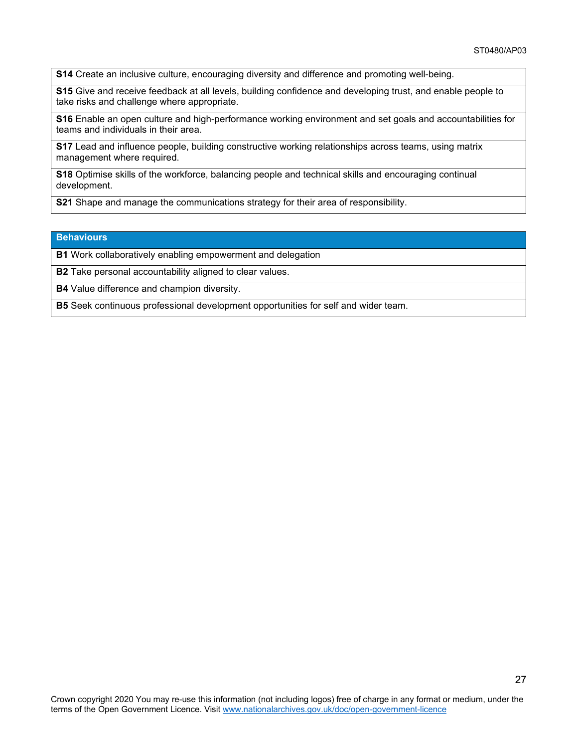**S14** Create an inclusive culture, encouraging diversity and difference and promoting well-being.

**S15** Give and receive feedback at all levels, building confidence and developing trust, and enable people to take risks and challenge where appropriate.

**S16** Enable an open culture and high-performance working environment and set goals and accountabilities for teams and individuals in their area.

**S17** Lead and influence people, building constructive working relationships across teams, using matrix management where required.

**S18** Optimise skills of the workforce, balancing people and technical skills and encouraging continual development.

**S21** Shape and manage the communications strategy for their area of responsibility.

#### **Behaviours**

**B1** Work collaboratively enabling empowerment and delegation

**B2** Take personal accountability aligned to clear values.

**B4** Value difference and champion diversity.

**B5** Seek continuous professional development opportunities for self and wider team.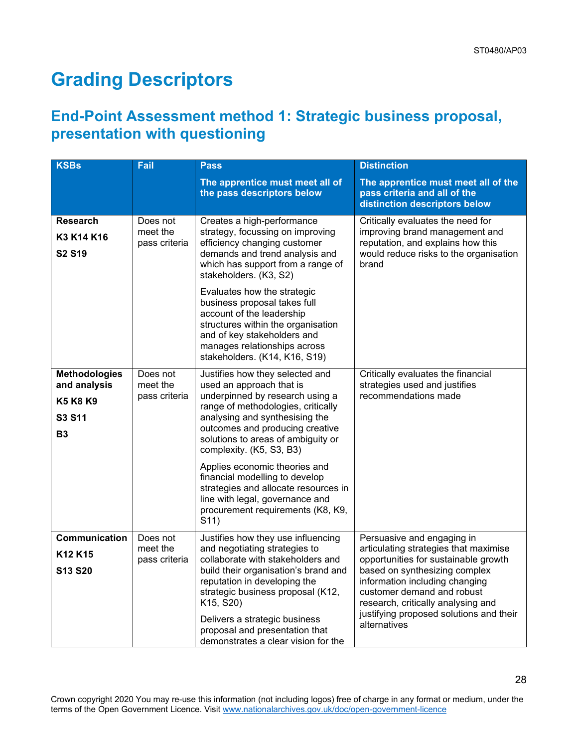# <span id="page-27-0"></span>**Grading Descriptors**

### **End-Point Assessment method 1: Strategic business proposal, presentation with questioning**

| <b>KSBs</b>                                                                    | <b>Fail</b>                           | <b>Pass</b>                                                                                                                                                                                                                                                                                                                                                                                                                                                            | <b>Distinction</b>                                                                                                                                                                                                                                                                                            |
|--------------------------------------------------------------------------------|---------------------------------------|------------------------------------------------------------------------------------------------------------------------------------------------------------------------------------------------------------------------------------------------------------------------------------------------------------------------------------------------------------------------------------------------------------------------------------------------------------------------|---------------------------------------------------------------------------------------------------------------------------------------------------------------------------------------------------------------------------------------------------------------------------------------------------------------|
|                                                                                |                                       | The apprentice must meet all of<br>the pass descriptors below                                                                                                                                                                                                                                                                                                                                                                                                          | The apprentice must meet all of the<br>pass criteria and all of the<br>distinction descriptors below                                                                                                                                                                                                          |
| <b>Research</b><br>K3 K14 K16<br><b>S2 S19</b>                                 | Does not<br>meet the<br>pass criteria | Creates a high-performance<br>strategy, focussing on improving<br>efficiency changing customer<br>demands and trend analysis and<br>which has support from a range of<br>stakeholders. (K3, S2)<br>Evaluates how the strategic<br>business proposal takes full<br>account of the leadership<br>structures within the organisation<br>and of key stakeholders and<br>manages relationships across<br>stakeholders. (K14, K16, S19)                                      | Critically evaluates the need for<br>improving brand management and<br>reputation, and explains how this<br>would reduce risks to the organisation<br>brand                                                                                                                                                   |
| <b>Methodologies</b><br>and analysis<br><b>K5 K8 K9</b><br>S3 S11<br><b>B3</b> | Does not<br>meet the<br>pass criteria | Justifies how they selected and<br>used an approach that is<br>underpinned by research using a<br>range of methodologies, critically<br>analysing and synthesising the<br>outcomes and producing creative<br>solutions to areas of ambiguity or<br>complexity. (K5, S3, B3)<br>Applies economic theories and<br>financial modelling to develop<br>strategies and allocate resources in<br>line with legal, governance and<br>procurement requirements (K8, K9,<br>S11) | Critically evaluates the financial<br>strategies used and justifies<br>recommendations made                                                                                                                                                                                                                   |
| Communication<br>K <sub>12</sub> K <sub>15</sub><br>S13 S20                    | Does not<br>meet the<br>pass criteria | Justifies how they use influencing<br>and negotiating strategies to<br>collaborate with stakeholders and<br>build their organisation's brand and<br>reputation in developing the<br>strategic business proposal (K12,<br>K15, S20)<br>Delivers a strategic business<br>proposal and presentation that<br>demonstrates a clear vision for the                                                                                                                           | Persuasive and engaging in<br>articulating strategies that maximise<br>opportunities for sustainable growth<br>based on synthesizing complex<br>information including changing<br>customer demand and robust<br>research, critically analysing and<br>justifying proposed solutions and their<br>alternatives |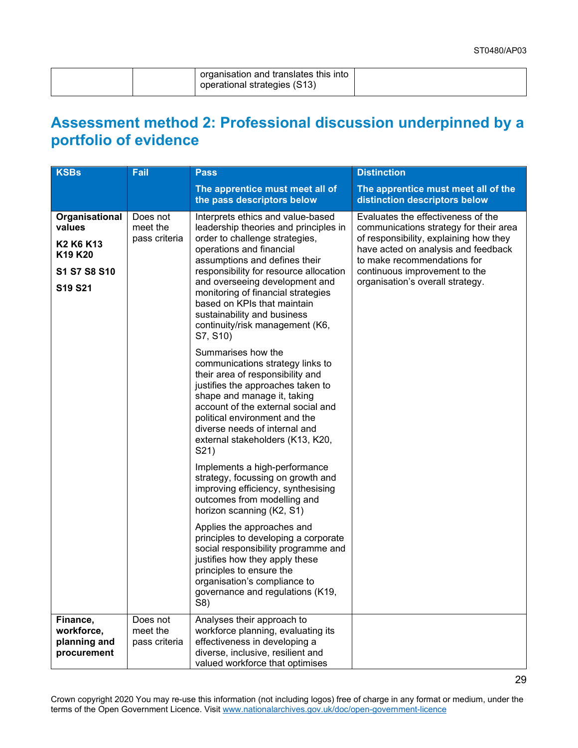| operational strategies (S13) |  | organisation and translates this into |  |
|------------------------------|--|---------------------------------------|--|
|------------------------------|--|---------------------------------------|--|

### **Assessment method 2: Professional discussion underpinned by a portfolio of evidence**

|                                                                                                                                                          |                                                                                                                                                                                                                                                                                                                                                                                                                                                                                                                                                                                                                                                                                                                                                                                                                                                                                                                                                                                                                                                                                                                                                       | <b>Distinction</b>                                                                                                                                                                                                                                                |
|----------------------------------------------------------------------------------------------------------------------------------------------------------|-------------------------------------------------------------------------------------------------------------------------------------------------------------------------------------------------------------------------------------------------------------------------------------------------------------------------------------------------------------------------------------------------------------------------------------------------------------------------------------------------------------------------------------------------------------------------------------------------------------------------------------------------------------------------------------------------------------------------------------------------------------------------------------------------------------------------------------------------------------------------------------------------------------------------------------------------------------------------------------------------------------------------------------------------------------------------------------------------------------------------------------------------------|-------------------------------------------------------------------------------------------------------------------------------------------------------------------------------------------------------------------------------------------------------------------|
|                                                                                                                                                          | The apprentice must meet all of<br>the pass descriptors below                                                                                                                                                                                                                                                                                                                                                                                                                                                                                                                                                                                                                                                                                                                                                                                                                                                                                                                                                                                                                                                                                         | The apprentice must meet all of the<br>distinction descriptors below                                                                                                                                                                                              |
| Organisational<br>Does not<br>values<br>meet the<br>pass criteria<br>K <sub>2</sub> K <sub>6</sub> K <sub>13</sub><br>K19 K20<br>S1 S7 S8 S10<br>S19 S21 | Interprets ethics and value-based<br>leadership theories and principles in<br>order to challenge strategies,<br>operations and financial<br>assumptions and defines their<br>responsibility for resource allocation<br>and overseeing development and<br>monitoring of financial strategies<br>based on KPIs that maintain<br>sustainability and business<br>continuity/risk management (K6,<br>S7, S10)<br>Summarises how the<br>communications strategy links to<br>their area of responsibility and<br>justifies the approaches taken to<br>shape and manage it, taking<br>account of the external social and<br>political environment and the<br>diverse needs of internal and<br>external stakeholders (K13, K20,<br>S21)<br>Implements a high-performance<br>strategy, focussing on growth and<br>improving efficiency, synthesising<br>outcomes from modelling and<br>horizon scanning (K2, S1)<br>Applies the approaches and<br>principles to developing a corporate<br>social responsibility programme and<br>justifies how they apply these<br>principles to ensure the<br>organisation's compliance to<br>governance and regulations (K19, | Evaluates the effectiveness of the<br>communications strategy for their area<br>of responsibility, explaining how they<br>have acted on analysis and feedback<br>to make recommendations for<br>continuous improvement to the<br>organisation's overall strategy. |
| Finance,<br>Does not<br>meet the<br>workforce,<br>planning and<br>pass criteria<br>procurement                                                           | S8)<br>Analyses their approach to<br>workforce planning, evaluating its<br>effectiveness in developing a<br>diverse, inclusive, resilient and<br>valued workforce that optimises                                                                                                                                                                                                                                                                                                                                                                                                                                                                                                                                                                                                                                                                                                                                                                                                                                                                                                                                                                      |                                                                                                                                                                                                                                                                   |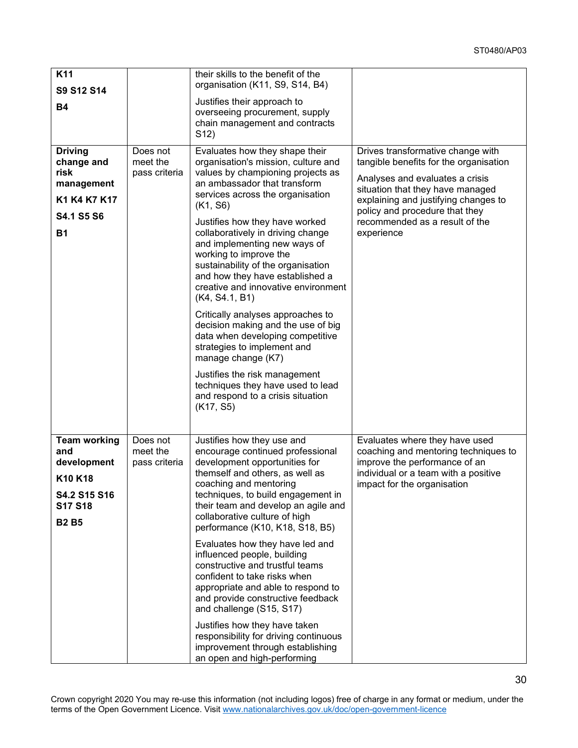30

| K11<br>S9 S12 S14                                                                                      |                                       | their skills to the benefit of the<br>organisation (K11, S9, S14, B4)                                                                                                                                                                                                                                                                                                                                                                                                                                                                                                                                                               |                                                                                                                                                                                                                                                                              |
|--------------------------------------------------------------------------------------------------------|---------------------------------------|-------------------------------------------------------------------------------------------------------------------------------------------------------------------------------------------------------------------------------------------------------------------------------------------------------------------------------------------------------------------------------------------------------------------------------------------------------------------------------------------------------------------------------------------------------------------------------------------------------------------------------------|------------------------------------------------------------------------------------------------------------------------------------------------------------------------------------------------------------------------------------------------------------------------------|
| <b>B4</b>                                                                                              |                                       | Justifies their approach to<br>overseeing procurement, supply<br>chain management and contracts<br>S <sub>12</sub> )                                                                                                                                                                                                                                                                                                                                                                                                                                                                                                                |                                                                                                                                                                                                                                                                              |
| <b>Driving</b><br>change and<br>risk<br>management<br>K1 K4 K7 K17<br><b>S4.1 S5 S6</b><br><b>B1</b>   | Does not<br>meet the<br>pass criteria | Evaluates how they shape their<br>organisation's mission, culture and<br>values by championing projects as<br>an ambassador that transform<br>services across the organisation<br>(K1, S6)<br>Justifies how they have worked<br>collaboratively in driving change<br>and implementing new ways of<br>working to improve the<br>sustainability of the organisation<br>and how they have established a<br>creative and innovative environment<br>(K4, S4.1, B1)                                                                                                                                                                       | Drives transformative change with<br>tangible benefits for the organisation<br>Analyses and evaluates a crisis<br>situation that they have managed<br>explaining and justifying changes to<br>policy and procedure that they<br>recommended as a result of the<br>experience |
|                                                                                                        |                                       | Critically analyses approaches to<br>decision making and the use of big<br>data when developing competitive<br>strategies to implement and<br>manage change (K7)<br>Justifies the risk management<br>techniques they have used to lead<br>and respond to a crisis situation<br>(K17, S5)                                                                                                                                                                                                                                                                                                                                            |                                                                                                                                                                                                                                                                              |
| <b>Team working</b><br>and<br>development<br>K10 K18<br>S4.2 S15 S16<br><b>S17 S18</b><br><b>B2 B5</b> | Does not<br>meet the<br>pass criteria | Justifies how they use and<br>encourage continued professional<br>development opportunities for<br>themself and others, as well as<br>coaching and mentoring<br>techniques, to build engagement in<br>their team and develop an agile and<br>collaborative culture of high<br>performance (K10, K18, S18, B5)<br>Evaluates how they have led and<br>influenced people, building<br>constructive and trustful teams<br>confident to take risks when<br>appropriate and able to respond to<br>and provide constructive feedback<br>and challenge (S15, S17)<br>Justifies how they have taken<br>responsibility for driving continuous | Evaluates where they have used<br>coaching and mentoring techniques to<br>improve the performance of an<br>individual or a team with a positive<br>impact for the organisation                                                                                               |
|                                                                                                        |                                       | improvement through establishing<br>an open and high-performing                                                                                                                                                                                                                                                                                                                                                                                                                                                                                                                                                                     |                                                                                                                                                                                                                                                                              |